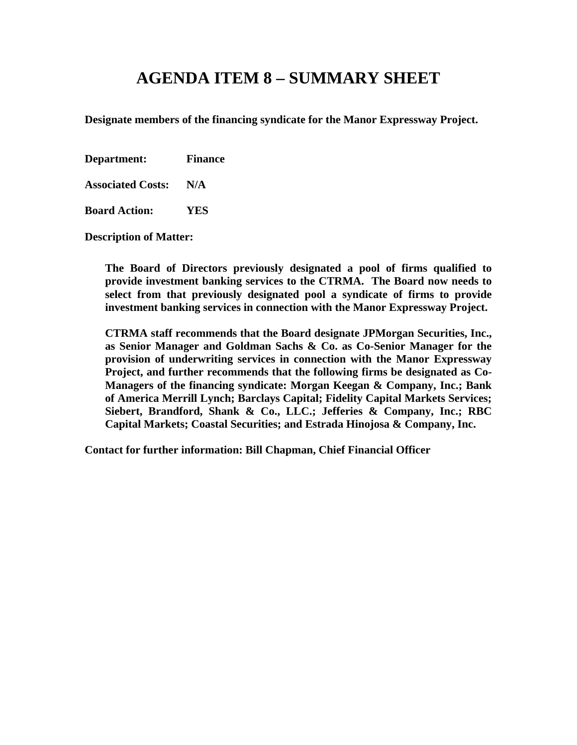# **AGENDA ITEM 8 – SUMMARY SHEET**

**Designate members of the financing syndicate for the Manor Expressway Project.**

**Department: Finance**

**Associated Costs: N/A**

**Board Action: YES**

**Description of Matter:**

**The Board of Directors previously designated a pool of firms qualified to provide investment banking services to the CTRMA. The Board now needs to select from that previously designated pool a syndicate of firms to provide investment banking services in connection with the Manor Expressway Project.**

**CTRMA staff recommends that the Board designate JPMorgan Securities, Inc., as Senior Manager and Goldman Sachs & Co. as Co-Senior Manager for the provision of underwriting services in connection with the Manor Expressway Project, and further recommends that the following firms be designated as Co-Managers of the financing syndicate: Morgan Keegan & Company, Inc.; Bank of America Merrill Lynch; Barclays Capital; Fidelity Capital Markets Services; Siebert, Brandford, Shank & Co., LLC.; Jefferies & Company, Inc.; RBC Capital Markets; Coastal Securities; and Estrada Hinojosa & Company, Inc.**

**Contact for further information: Bill Chapman, Chief Financial Officer**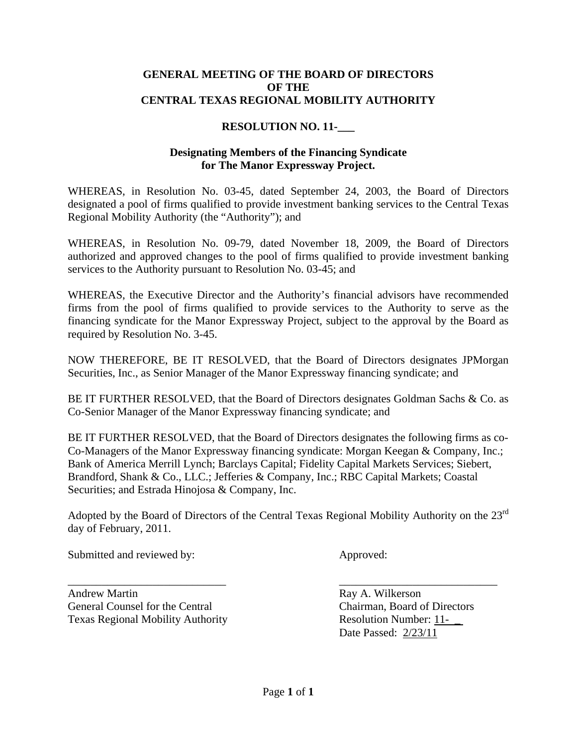## **GENERAL MEETING OF THE BOARD OF DIRECTORS OF THE CENTRAL TEXAS REGIONAL MOBILITY AUTHORITY**

## **RESOLUTION NO. 11-\_\_\_**

## **Designating Members of the Financing Syndicate for The Manor Expressway Project.**

WHEREAS, in Resolution No. 03-45, dated September 24, 2003, the Board of Directors designated a pool of firms qualified to provide investment banking services to the Central Texas Regional Mobility Authority (the "Authority"); and

WHEREAS, in Resolution No. 09-79, dated November 18, 2009, the Board of Directors authorized and approved changes to the pool of firms qualified to provide investment banking services to the Authority pursuant to Resolution No. 03-45; and

WHEREAS, the Executive Director and the Authority's financial advisors have recommended firms from the pool of firms qualified to provide services to the Authority to serve as the financing syndicate for the Manor Expressway Project, subject to the approval by the Board as required by Resolution No. 3-45.

NOW THEREFORE, BE IT RESOLVED, that the Board of Directors designates JPMorgan Securities, Inc., as Senior Manager of the Manor Expressway financing syndicate; and

BE IT FURTHER RESOLVED, that the Board of Directors designates Goldman Sachs & Co. as Co-Senior Manager of the Manor Expressway financing syndicate; and

BE IT FURTHER RESOLVED, that the Board of Directors designates the following firms as co-Co-Managers of the Manor Expressway financing syndicate: Morgan Keegan & Company, Inc.; Bank of America Merrill Lynch; Barclays Capital; Fidelity Capital Markets Services; Siebert, Brandford, Shank & Co., LLC.; Jefferies & Company, Inc.; RBC Capital Markets; Coastal Securities; and Estrada Hinojosa & Company, Inc.

Adopted by the Board of Directors of the Central Texas Regional Mobility Authority on the 23rd day of February, 2011.

\_\_\_\_\_\_\_\_\_\_\_\_\_\_\_\_\_\_\_\_\_\_\_\_\_\_\_\_ \_\_\_\_\_\_\_\_\_\_\_\_\_\_\_\_\_\_\_\_\_\_\_\_\_\_\_\_

Submitted and reviewed by: Approved:

Andrew Martin **Ray A. Wilkerson** General Counsel for the Central Chairman, Board of Directors Texas Regional Mobility Authority **Resolution Number: 11-**

Date Passed: 2/23/11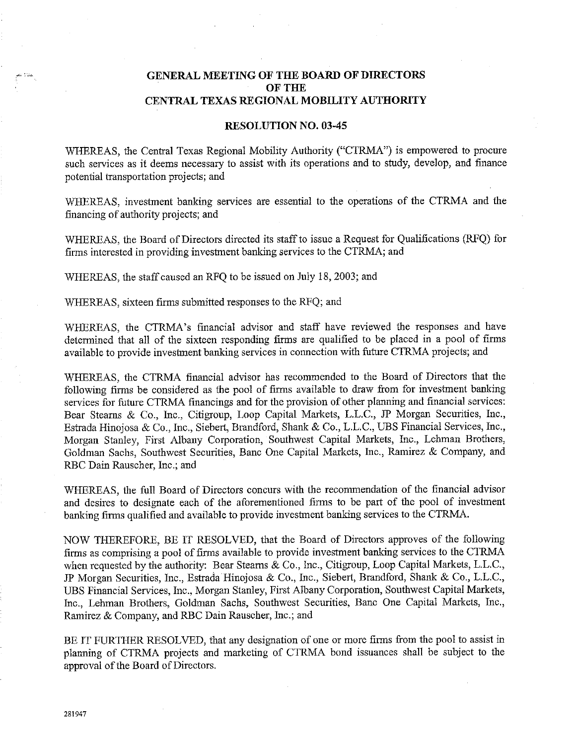### **GENERAL MEETING OF THE BOARD OF DIRECTORS OF THE** CENTRAL TEXAS REGIONAL MOBILITY AUTHORITY

#### **RESOLUTION NO. 03-45**

WHEREAS, the Central Texas Regional Mobility Authority ("CTRMA") is empowered to procure such services as it deems necessary to assist with its operations and to study, develop, and finance potential transportation projects; and

WHEREAS, investment banking services are essential to the operations of the CTRMA and the financing of authority projects; and

WHEREAS, the Board of Directors directed its staff to issue a Request for Qualifications (RFQ) for firms interested in providing investment banking services to the CTRMA; and

WHEREAS, the staff caused an RFQ to be issued on July 18, 2003; and

WHEREAS, sixteen firms submitted responses to the RFQ; and

WHEREAS, the CTRMA's financial advisor and staff have reviewed the responses and have determined that all of the sixteen responding firms are qualified to be placed in a pool of firms available to provide investment banking services in connection with future CTRMA projects; and

WHEREAS, the CTRMA financial advisor has recommended to the Board of Directors that the following firms be considered as the pool of firms available to draw from for investment banking services for future CTRMA financings and for the provision of other planning and financial services: Bear Stearns & Co., Inc., Citigroup, Loop Capital Markets, L.L.C., JP Morgan Securities, Inc., Estrada Hinojosa & Co., Inc., Siebert, Brandford, Shank & Co., L.L.C., UBS Financial Services, Inc., Morgan Stanley, First Albany Corporation, Southwest Capital Markets, Inc., Lehman Brothers, Goldman Sachs, Southwest Securities, Banc One Capital Markets, Inc., Ramirez & Company, and RBC Dain Rauscher, Inc.; and

WHEREAS, the full Board of Directors concurs with the recommendation of the financial advisor and desires to designate each of the aforementioned firms to be part of the pool of investment banking firms qualified and available to provide investment banking services to the CTRMA.

NOW THEREFORE, BE IT RESOLVED, that the Board of Directors approves of the following firms as comprising a pool of firms available to provide investment banking services to the CTRMA when requested by the authority: Bear Stearns & Co., Inc., Citigroup, Loop Capital Markets, L.L.C., JP Morgan Securities, Inc., Estrada Hinojosa & Co., Inc., Siebert, Brandford, Shank & Co., L.L.C., UBS Financial Services, Inc., Morgan Stanley, First Albany Corporation, Southwest Capital Markets, Inc., Lehman Brothers, Goldman Sachs, Southwest Securities, Banc One Capital Markets, Inc., Ramirez & Company, and RBC Dain Rauscher, Inc.; and

BE IT FURTHER RESOLVED, that any designation of one or more firms from the pool to assist in planning of CTRMA projects and marketing of CTRMA bond issuances shall be subject to the approval of the Board of Directors.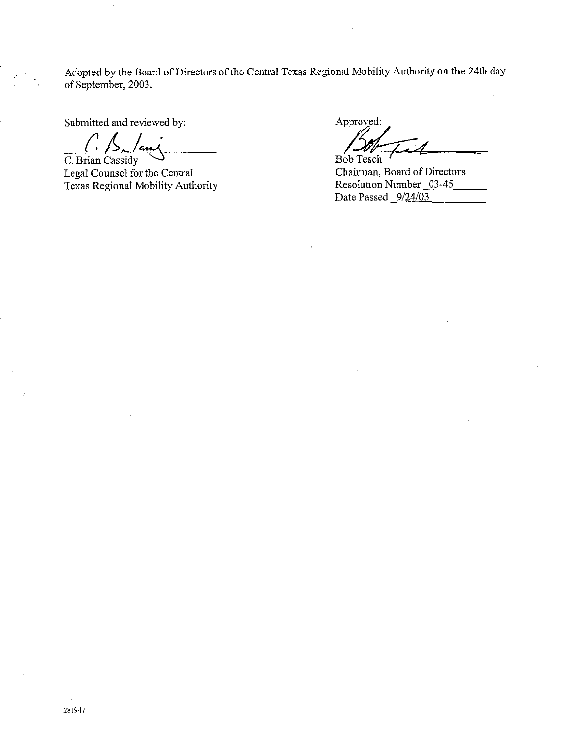Adopted by the Board of Directors of the Central Texas Regional Mobility Authority on the 24th day of September, 2003.

Submitted and reviewed by:

C. Brian Cassidy Legal Counsel for the Central Texas Regional Mobility Authority

Approved:

Bob Tesch

Chairman, Board of Directors Resolution Number 03-45 Date Passed 9/24/03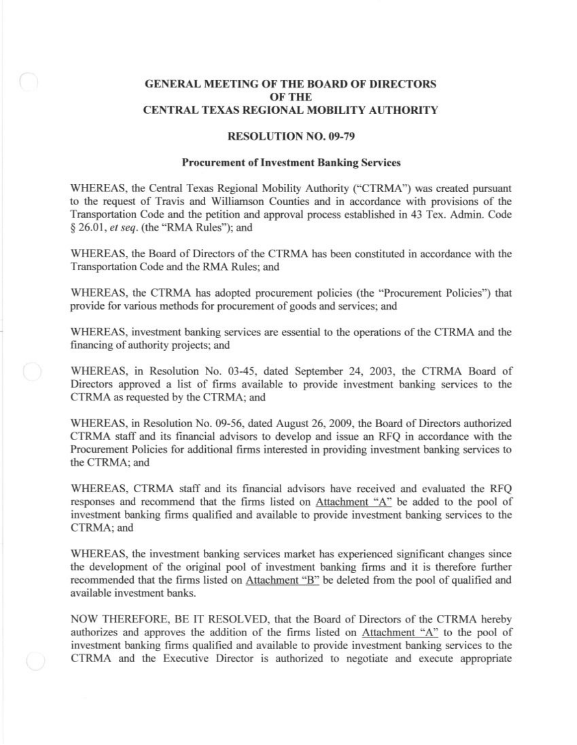## **GENERAL MEETING OF THE BOARD OF DIRECTORS OF THE** CENTRAL TEXAS REGIONAL MOBILITY AUTHORITY

#### **RESOLUTION NO. 09-79**

#### **Procurement of Investment Banking Services**

WHEREAS, the Central Texas Regional Mobility Authority ("CTRMA") was created pursuant to the request of Travis and Williamson Counties and in accordance with provisions of the Transportation Code and the petition and approval process established in 43 Tex. Admin. Code § 26.01, et seq. (the "RMA Rules"); and

WHEREAS, the Board of Directors of the CTRMA has been constituted in accordance with the Transportation Code and the RMA Rules; and

WHEREAS, the CTRMA has adopted procurement policies (the "Procurement Policies") that provide for various methods for procurement of goods and services; and

WHEREAS, investment banking services are essential to the operations of the CTRMA and the financing of authority projects; and

WHEREAS, in Resolution No. 03-45, dated September 24, 2003, the CTRMA Board of Directors approved a list of firms available to provide investment banking services to the CTRMA as requested by the CTRMA; and

WHEREAS, in Resolution No. 09-56, dated August 26, 2009, the Board of Directors authorized CTRMA staff and its financial advisors to develop and issue an RFQ in accordance with the Procurement Policies for additional firms interested in providing investment banking services to the CTRMA: and

WHEREAS, CTRMA staff and its financial advisors have received and evaluated the RFQ responses and recommend that the firms listed on Attachment "A" be added to the pool of investment banking firms qualified and available to provide investment banking services to the CTRMA: and

WHEREAS, the investment banking services market has experienced significant changes since the development of the original pool of investment banking firms and it is therefore further recommended that the firms listed on Attachment "B" be deleted from the pool of qualified and available investment banks.

NOW THEREFORE, BE IT RESOLVED, that the Board of Directors of the CTRMA hereby authorizes and approves the addition of the firms listed on Attachment "A" to the pool of investment banking firms qualified and available to provide investment banking services to the CTRMA and the Executive Director is authorized to negotiate and execute appropriate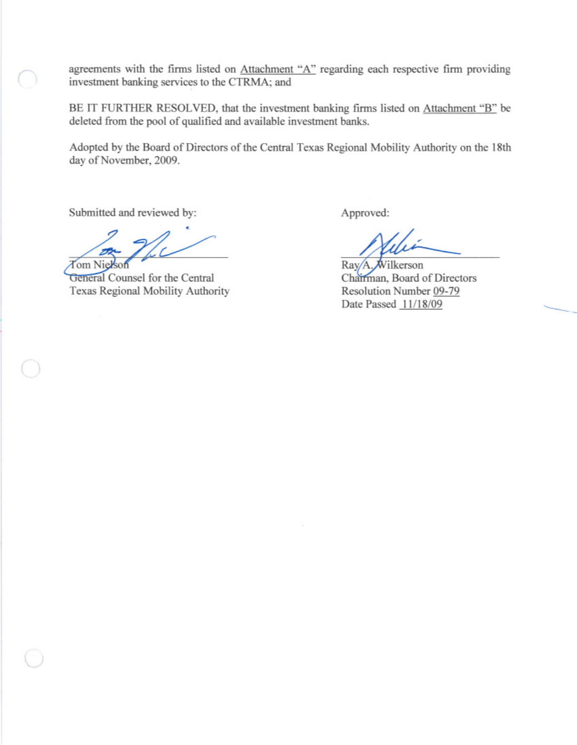agreements with the firms listed on Attachment "A" regarding each respective firm providing investment banking services to the CTRMA; and

BE IT FURTHER RESOLVED, that the investment banking firms listed on Attachment "B" be deleted from the pool of qualified and available investment banks.

Adopted by the Board of Directors of the Central Texas Regional Mobility Authority on the 18th day of November, 2009.

Submitted and reviewed by:

fom Ni

General Counsel for the Central Texas Regional Mobility Authority

Approved:

Ray/A. Wilkerson Chairman, Board of Directors Resolution Number 09-79 Date Passed 11/18/09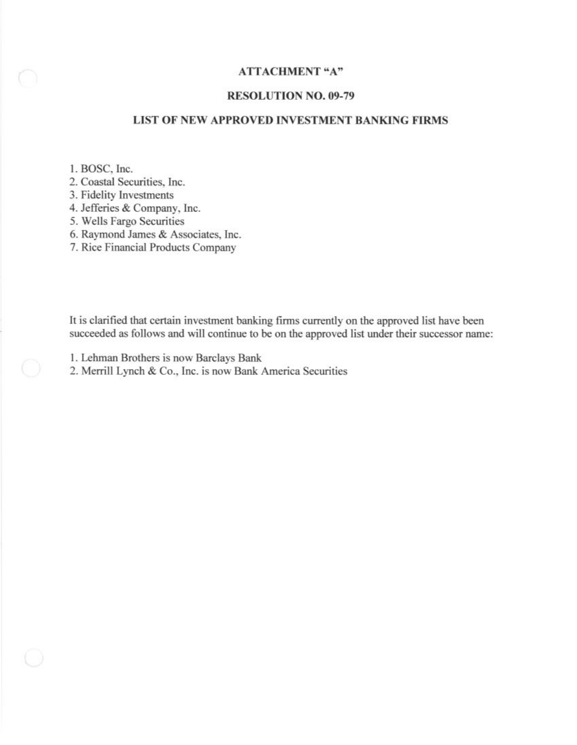## **ATTACHMENT "A"**

### **RESOLUTION NO. 09-79**

## LIST OF NEW APPROVED INVESTMENT BANKING FIRMS

1. BOSC, Inc.

2. Coastal Securities, Inc.

3. Fidelity Investments

4. Jefferies & Company, Inc.

5. Wells Fargo Securities

6. Raymond James & Associates, Inc.

7. Rice Financial Products Company

It is clarified that certain investment banking firms currently on the approved list have been succeeded as follows and will continue to be on the approved list under their successor name:

1. Lehman Brothers is now Barclays Bank

2. Merrill Lynch & Co., Inc. is now Bank America Securities